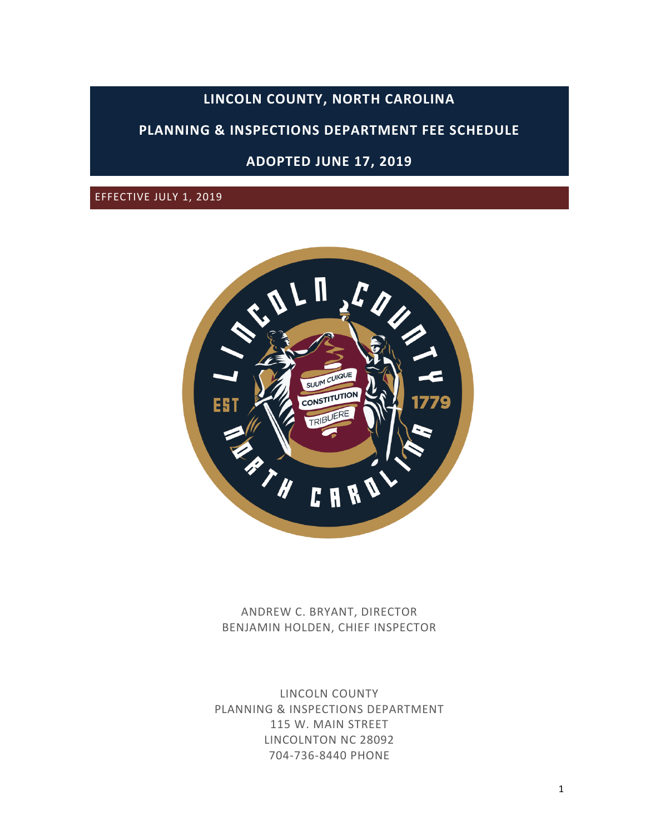# **LINCOLN COUNTY, NORTH CAROLINA**

# **PLANNING & INSPECTIONS DEPARTMENT FEE SCHEDULE**

# **ADOPTED JUNE 17, 2019**

EFFECTIVE JULY 1, 2019



ANDREW C. BRYANT, DIRECTOR BENJAMIN HOLDEN, CHIEF INSPECTOR

LINCOLN COUNTY PLANNING & INSPECTIONS DEPARTMENT 115 W. MAIN STREET LINCOLNTON NC 28092 704-736-8440 PHONE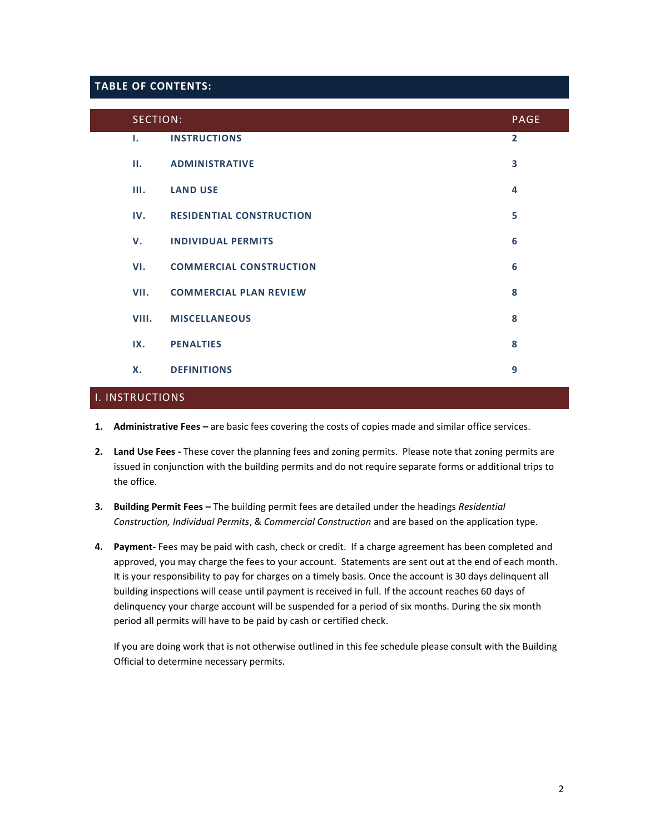#### **TABLE OF CONTENTS:**

| SECTION:     |                                 | <b>PAGE</b>    |
|--------------|---------------------------------|----------------|
| $\mathbf{L}$ | <b>INSTRUCTIONS</b>             | $\overline{2}$ |
| н.           | <b>ADMINISTRATIVE</b>           | 3              |
| Ш.           | <b>LAND USE</b>                 | 4              |
| IV.          | <b>RESIDENTIAL CONSTRUCTION</b> | 5              |
| v.           | <b>INDIVIDUAL PERMITS</b>       | 6              |
| VI.          | <b>COMMERCIAL CONSTRUCTION</b>  | 6              |
| VII.         | <b>COMMERCIAL PLAN REVIEW</b>   | 8              |
| VIII.        | <b>MISCELLANEOUS</b>            | 8              |
| IX.          | <b>PENALTIES</b>                | 8              |
| <b>X.</b>    | <b>DEFINITIONS</b>              | 9              |

### I. INSTRUCTIONS

- **1. Administrative Fees –** are basic fees covering the costs of copies made and similar office services.
- **2. Land Use Fees -** These cover the planning fees and zoning permits. Please note that zoning permits are issued in conjunction with the building permits and do not require separate forms or additional trips to the office.
- **3. Building Permit Fees –** The building permit fees are detailed under the headings *Residential Construction, Individual Permits*, & *Commercial Construction* and are based on the application type.
- **4. Payment** Fees may be paid with cash, check or credit. If a charge agreement has been completed and approved, you may charge the fees to your account. Statements are sent out at the end of each month. It is your responsibility to pay for charges on a timely basis. Once the account is 30 days delinquent all building inspections will cease until payment is received in full. If the account reaches 60 days of delinquency your charge account will be suspended for a period of six months. During the six month period all permits will have to be paid by cash or certified check.

If you are doing work that is not otherwise outlined in this fee schedule please consult with the Building Official to determine necessary permits.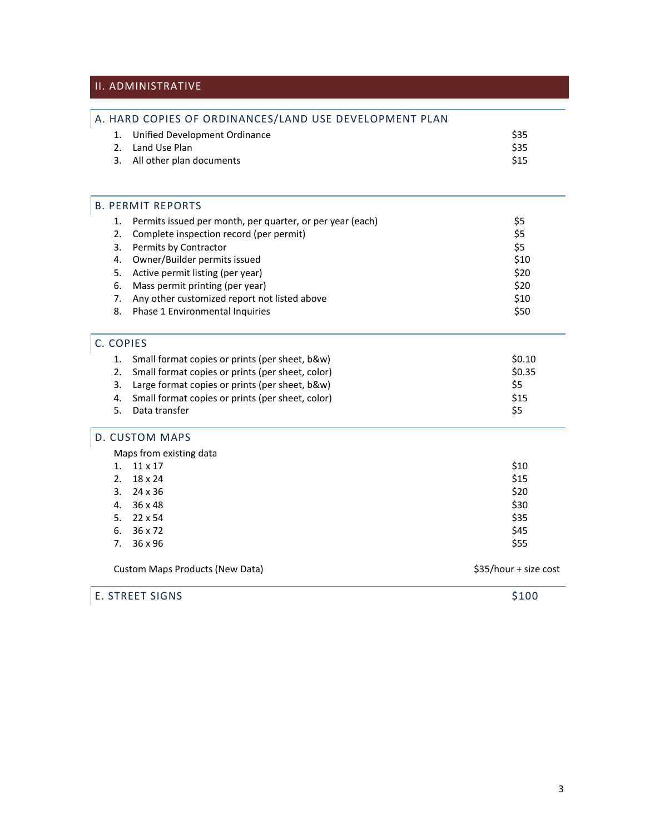# II. ADMINISTRATIVE

|                                                      | A. HARD COPIES OF ORDINANCES/LAND USE DEVELOPMENT PLAN    |                       |
|------------------------------------------------------|-----------------------------------------------------------|-----------------------|
| 1.                                                   | Unified Development Ordinance                             | \$35                  |
| 2.                                                   | Land Use Plan                                             | \$35                  |
| 3.                                                   | All other plan documents                                  | \$15                  |
|                                                      |                                                           |                       |
|                                                      | <b>B. PERMIT REPORTS</b>                                  |                       |
| 1.                                                   | Permits issued per month, per quarter, or per year (each) | \$5                   |
| 2.                                                   | Complete inspection record (per permit)                   | \$5                   |
| 3.                                                   | Permits by Contractor                                     | \$5                   |
| 4.                                                   | Owner/Builder permits issued                              | \$10                  |
| 5.                                                   | Active permit listing (per year)                          | \$20                  |
| 6.                                                   | Mass permit printing (per year)                           | \$20                  |
| 7.                                                   | Any other customized report not listed above              | \$10                  |
| 8.                                                   | Phase 1 Environmental Inquiries                           | \$50                  |
| C. COPIES                                            |                                                           |                       |
| 1.                                                   | Small format copies or prints (per sheet, b&w)            | \$0.10                |
| 2.                                                   | Small format copies or prints (per sheet, color)          | \$0.35                |
| Large format copies or prints (per sheet, b&w)<br>3. |                                                           | \$5                   |
| 4.                                                   | Small format copies or prints (per sheet, color)          | \$15                  |
| 5.                                                   | Data transfer                                             | \$5                   |
|                                                      | D. CUSTOM MAPS                                            |                       |
|                                                      | Maps from existing data                                   |                       |
| 1.                                                   | 11 x 17                                                   | \$10                  |
| 2.                                                   | 18 x 24                                                   | \$15                  |
| 3.                                                   | 24 x 36                                                   | \$20                  |
| 36 x 48<br>4.                                        |                                                           | \$30                  |
|                                                      | 5. $22 \times 54$                                         | \$35                  |
| 6.                                                   | 36 x 72                                                   | \$45                  |
| 7.                                                   | 36 x 96                                                   | \$55                  |
|                                                      | <b>Custom Maps Products (New Data)</b>                    | \$35/hour + size cost |
|                                                      | <b>E. STREET SIGNS</b>                                    | \$100                 |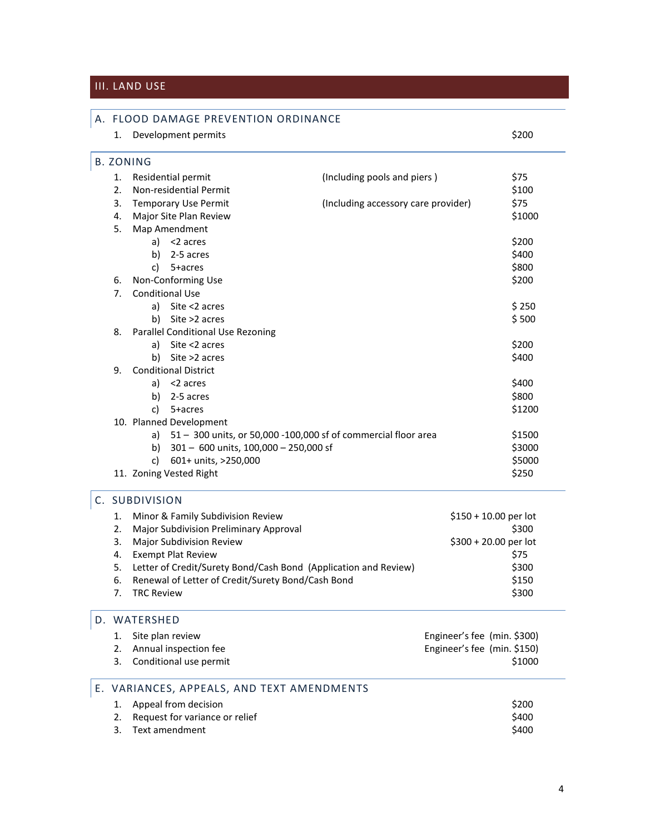## III. LAND USE

#### A. FLOOD DAMAGE PREVENTION ORDINANCE

| 1.               |                                   | Development permits                                            |                                     | \$200  |
|------------------|-----------------------------------|----------------------------------------------------------------|-------------------------------------|--------|
| <b>B. ZONING</b> |                                   |                                                                |                                     |        |
| 1.               |                                   | Residential permit                                             | (Including pools and piers)         | \$75   |
| 2.               |                                   | Non-residential Permit                                         |                                     | \$100  |
| 3.               |                                   | <b>Temporary Use Permit</b>                                    | (Including accessory care provider) | \$75   |
| 4.               |                                   | Major Site Plan Review                                         |                                     | \$1000 |
| 5.               |                                   | Map Amendment                                                  |                                     |        |
|                  |                                   | a) $<$ 2 acres                                                 |                                     | \$200  |
|                  | b)                                | 2-5 acres                                                      |                                     | \$400  |
|                  | c)                                | 5+acres                                                        |                                     | \$800  |
| 6.               |                                   | Non-Conforming Use                                             |                                     | \$200  |
| 7.               |                                   | <b>Conditional Use</b>                                         |                                     |        |
|                  | a)                                | Site <2 acres                                                  |                                     | \$250  |
|                  | b)                                | Site >2 acres                                                  |                                     | \$500  |
| 8.               | Parallel Conditional Use Rezoning |                                                                |                                     |        |
|                  | a)                                | Site <2 acres                                                  |                                     | \$200  |
|                  | b)                                | Site >2 acres                                                  |                                     | \$400  |
| 9.               | <b>Conditional District</b>       |                                                                |                                     |        |
|                  | a)                                | <2 acres                                                       |                                     | \$400  |
|                  | b)                                | 2-5 acres                                                      |                                     | \$800  |
|                  | c)                                | 5+acres                                                        |                                     | \$1200 |
|                  |                                   | 10. Planned Development                                        |                                     |        |
|                  | a)                                | 51 - 300 units, or 50,000 -100,000 sf of commercial floor area |                                     | \$1500 |
|                  | b)                                | $301 - 600$ units, $100,000 - 250,000$ sf                      |                                     | \$3000 |
|                  | c)                                | 601+ units, >250,000                                           |                                     | \$5000 |
|                  |                                   | 11. Zoning Vested Right                                        |                                     | \$250  |
|                  | $C[1]$ $D[1]$ $D[1]$ $D[1]$       |                                                                |                                     |        |

### C. SUBDIVISION

|    | 1. Minor & Family Subdivision Review                               | $$150 + 10.00$ per lot |
|----|--------------------------------------------------------------------|------------------------|
|    | 2. Major Subdivision Preliminary Approval                          | \$300                  |
| 3. | <b>Major Subdivision Review</b>                                    | $$300 + 20.00$ per lot |
|    | 4. Exempt Plat Review                                              | \$75                   |
|    | 5. Letter of Credit/Surety Bond/Cash Bond (Application and Review) | \$300                  |
| 6. | Renewal of Letter of Credit/Surety Bond/Cash Bond                  | \$150                  |
|    | 7. TRC Review                                                      | \$300                  |

### D. WATERSHED

| 1. Site plan review       | Engineer's fee (min. \$300) |
|---------------------------|-----------------------------|
| 2. Annual inspection fee  | Engineer's fee (min. \$150) |
| 3. Conditional use permit | \$1000                      |

#### E. VARIANCES, APPEALS, AND TEXT AMENDMENTS 1. Appeal from decision  $\frac{1}{200}$

| 1. Appeal from decision           | SZUU  |
|-----------------------------------|-------|
| 2. Request for variance or relief | \$400 |
| 3. Text amendment                 | \$400 |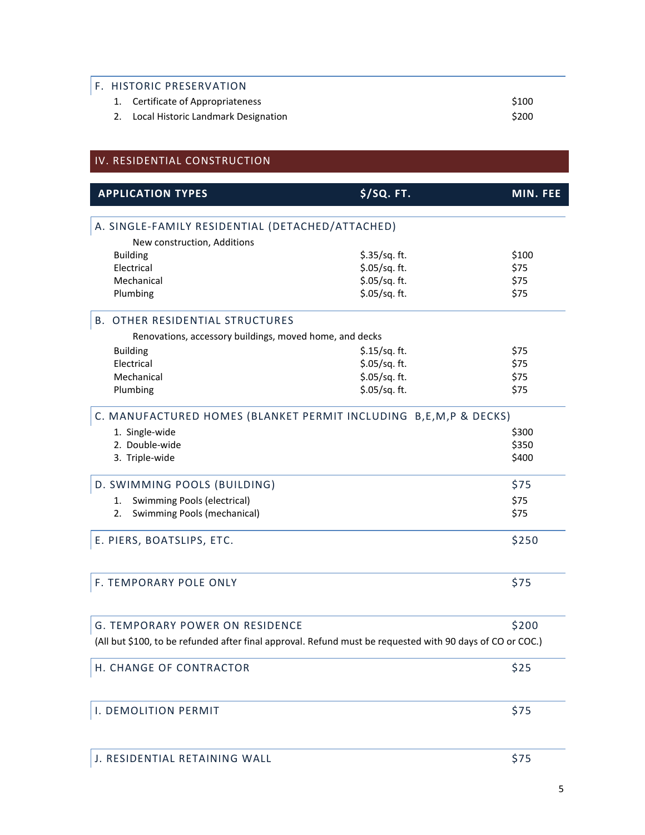# **F. HISTORIC PRESERVATION**

| 1. Certificate of Appropriateness      | \$100 |
|----------------------------------------|-------|
| 2. Local Historic Landmark Designation | \$200 |

## IV. RESIDENTIAL CONSTRUCTION

| <b>APPLICATION TYPES</b>                                | \$/SQ. FT.                                                                                                | MIN. FEE |
|---------------------------------------------------------|-----------------------------------------------------------------------------------------------------------|----------|
| A. SINGLE-FAMILY RESIDENTIAL (DETACHED/ATTACHED)        |                                                                                                           |          |
|                                                         |                                                                                                           |          |
| New construction, Additions<br><b>Building</b>          | \$.35/sq. ft.                                                                                             | \$100    |
| Electrical                                              | \$.05/sq. ft.                                                                                             | \$75     |
| Mechanical                                              | \$.05/sq. ft.                                                                                             | \$75     |
| Plumbing                                                | \$.05/sq. ft.                                                                                             | \$75     |
| <b>B. OTHER RESIDENTIAL STRUCTURES</b>                  |                                                                                                           |          |
| Renovations, accessory buildings, moved home, and decks |                                                                                                           |          |
| <b>Building</b>                                         | $$.15/sq.$ ft.                                                                                            | \$75     |
| Electrical                                              | \$.05/sq. ft.                                                                                             | \$75     |
| Mechanical                                              | \$.05/sq. ft.                                                                                             | \$75     |
| Plumbing                                                | \$.05/sq. ft.                                                                                             | \$75     |
|                                                         | C. MANUFACTURED HOMES (BLANKET PERMIT INCLUDING B, E, M, P & DECKS)                                       |          |
| 1. Single-wide                                          |                                                                                                           | \$300    |
| 2. Double-wide                                          |                                                                                                           | \$350    |
| 3. Triple-wide                                          |                                                                                                           | \$400    |
| D. SWIMMING POOLS (BUILDING)                            |                                                                                                           | \$75     |
| Swimming Pools (electrical)<br>1.                       |                                                                                                           | \$75     |
| Swimming Pools (mechanical)<br>2.                       |                                                                                                           | \$75     |
| E. PIERS, BOATSLIPS, ETC.                               |                                                                                                           | \$250    |
| F. TEMPORARY POLE ONLY                                  |                                                                                                           | \$75     |
| <b>G. TEMPORARY POWER ON RESIDENCE</b>                  |                                                                                                           | \$200    |
|                                                         | (All but \$100, to be refunded after final approval. Refund must be requested with 90 days of CO or COC.) |          |
| H. CHANGE OF CONTRACTOR                                 |                                                                                                           | \$25     |
| I. DEMOLITION PERMIT                                    |                                                                                                           | \$75     |
| J. RESIDENTIAL RETAINING WALL                           |                                                                                                           | \$75     |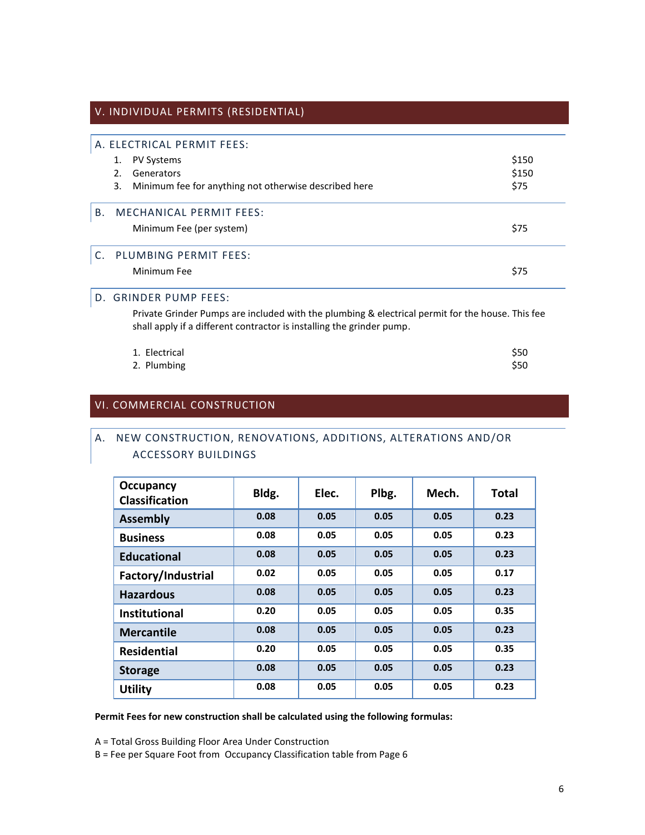#### V. INDIVIDUAL PERMITS (RESIDENTIAL)

# A. ELECTRICAL PERMIT FEES: 1. PV Systems  $$150$ 2. Generators \$150 3. Minimum fee for anything not otherwise described here \$75 B. MECHANICAL PERMIT FEES: Minimum Fee (per system)  $$75$ C. PLUMBING PERMIT FEES: Minimum Fee \$75

#### D.GRINDER PUMP FEES:

Private Grinder Pumps are included with the plumbing & electrical permit for the house. This fee shall apply if a different contractor is installing the grinder pump.

| 1. Electrical | \$50 |
|---------------|------|
| 2. Plumbing   | \$50 |

#### VI. COMMERCIAL CONSTRUCTION

### A. NEW CONSTRUCTION, RENOVATIONS, ADDITIONS, ALTERATIONS AND/OR ACCESSORY BUILDINGS

| <b>Occupancy</b><br><b>Classification</b> | Bldg. | Elec. | Plbg. | Mech. | <b>Total</b> |
|-------------------------------------------|-------|-------|-------|-------|--------------|
| <b>Assembly</b>                           | 0.08  | 0.05  | 0.05  | 0.05  | 0.23         |
| <b>Business</b>                           | 0.08  | 0.05  | 0.05  | 0.05  | 0.23         |
| <b>Educational</b>                        | 0.08  | 0.05  | 0.05  | 0.05  | 0.23         |
| Factory/Industrial                        | 0.02  | 0.05  | 0.05  | 0.05  | 0.17         |
| <b>Hazardous</b>                          | 0.08  | 0.05  | 0.05  | 0.05  | 0.23         |
| <b>Institutional</b>                      | 0.20  | 0.05  | 0.05  | 0.05  | 0.35         |
| <b>Mercantile</b>                         | 0.08  | 0.05  | 0.05  | 0.05  | 0.23         |
| <b>Residential</b>                        | 0.20  | 0.05  | 0.05  | 0.05  | 0.35         |
| <b>Storage</b>                            | 0.08  | 0.05  | 0.05  | 0.05  | 0.23         |
| <b>Utility</b>                            | 0.08  | 0.05  | 0.05  | 0.05  | 0.23         |

**Permit Fees for new construction shall be calculated using the following formulas:**

A = Total Gross Building Floor Area Under Construction

B = Fee per Square Foot from Occupancy Classification table from Page 6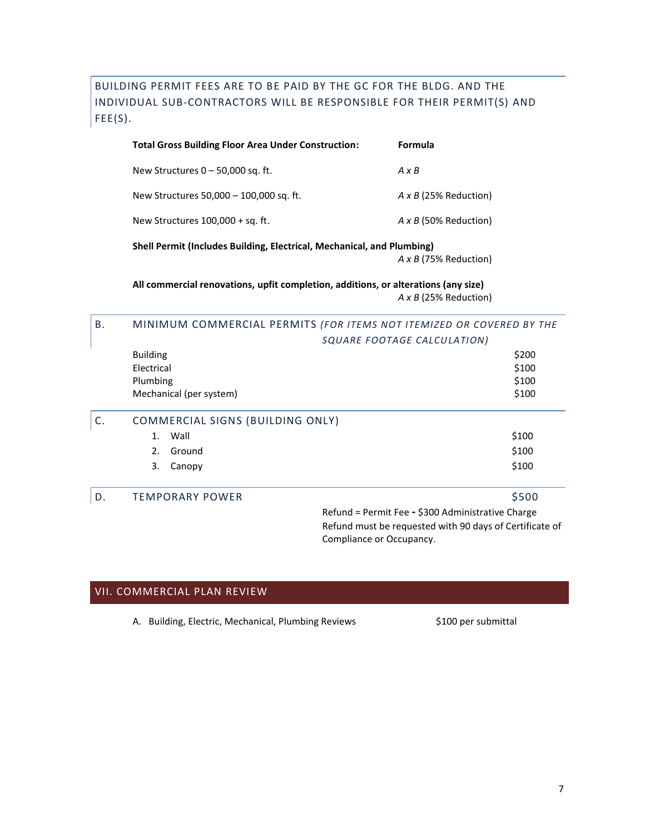BUILDING PERMIT FEES ARE TO BE PAID BY THE GC FOR THE BLDG. AND THE INDIVIDUAL SUB-CONTRACTORS WILL BE RESPONSIBLE FOR THEIR PERMIT(S) AND FEE(S).

| <b>Total Gross Building Floor Area Under Construction:</b>             | Formula                      |  |
|------------------------------------------------------------------------|------------------------------|--|
| New Structures $0 - 50,000$ sq. ft.                                    | $A \times B$                 |  |
| New Structures 50,000 - 100,000 sq. ft.                                | $A \times B$ (25% Reduction) |  |
| New Structures $100,000 + sq.$ ft.                                     | $A \times B$ (50% Reduction) |  |
| Shell Permit (Includes Building, Electrical, Mechanical, and Plumbing) |                              |  |
|                                                                        | $A \times B$ (75% Reduction) |  |

**All commercial renovations, upfit completion, additions, or alterations (any size)** *A x B* (25% Reduction)

#### B. MINIMUM COMMERCIAL PERMITS *(FOR ITEMS NOT ITEMIZED OR COVERED BY THE SQUARE FOOTAGE CALCULATION)*

|    |                                  | SQUARE FOUTAGE CALCULATION)                       |  |
|----|----------------------------------|---------------------------------------------------|--|
|    | <b>Building</b>                  | \$200                                             |  |
|    | Electrical                       | \$100                                             |  |
|    | Plumbing                         | \$100                                             |  |
|    | Mechanical (per system)          | \$100                                             |  |
|    | COMMERCIAL SIGNS (BUILDING ONLY) |                                                   |  |
|    | Wall<br>1.                       | \$100                                             |  |
|    | 2.<br>Ground                     | \$100                                             |  |
|    | 3.<br>Canopy                     | \$100                                             |  |
| D. | <b>TEMPORARY POWER</b>           | \$500                                             |  |
|    |                                  | Refund = Permit Fee - \$300 Administrative Charge |  |

Refund must be requested with 90 days of Certificate of Compliance or Occupancy.

### VII. COMMERCIAL PLAN REVIEW

A. Building, Electric, Mechanical, Plumbing Reviews \$100 per submittal